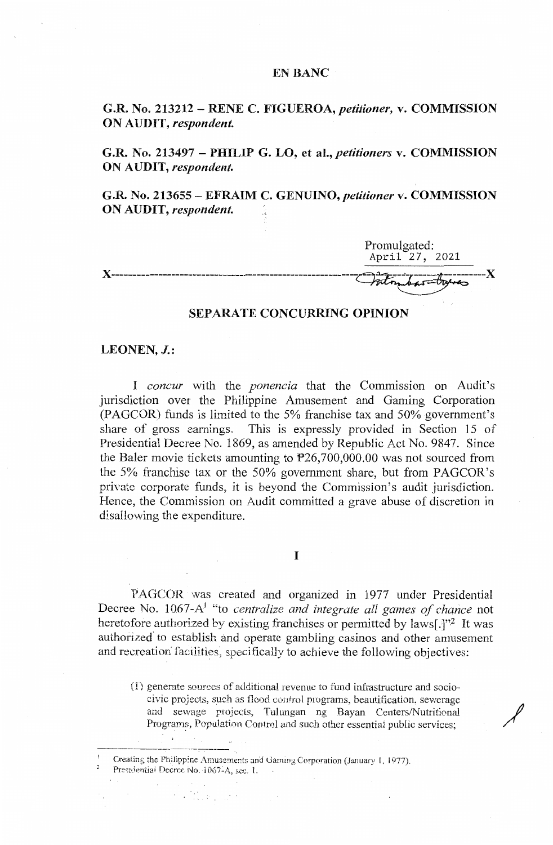# EN BANC

**G.R. No. 213212** - **RENE C. FIGUEROA,** *petitioner,* **v. COMMISSION ON AUDIT,** *respondent.* 

**G.R. No. 213497** - **PHILIP G. LO, et al.,** *petitioners* **v. COMMISSION ON AUDIT,** *respondent.* 

**G.R. No. 213655** - **EFRAIM C. GENUINO,** *petitioner* **v. COMMISSION ON AUDIT,** *respondent.* 

Promulgated: April 27, 2021 **X---------------------------------------------------------- ----------X** 

# **SEPARATE CONCURRING OPINION**

# **LEONEN, J.:**

I *concur* with the *ponencia* that the Commission on Audit's jurisdiction over the Philippine Amusement and Gaming Corporation (PAGCOR) funds is limited to the 5% franchise tax and 50% government's share of gross earnings. This is expressly provided in Section 15 of Presidential Decree No. 1869, as amended by Republic Act No. 9847. Since the Baler movie tickets amounting to  $P26,700,000.00$  was not sourced from the 5% franchise tax or the 50% government share, but from PAGCOR's private corporate funds, it is beyond the Commission's audit jurisdiction. Hence, the Commission on Audit committed a grave abuse of discretion in disallowing the expenditure.

I

PAGCOR was created and organized in 1977 under Presidential Decree No. 1067-A1 "to *centralize and integrate all games of chance* not heretofore authorized by existing franchises or permitted by laws[.]"2 It was authorized to establish and operate gambling casinos and other amusement and recreation facilities, specifically to achieve the following objectives:

(1) generate sources of additional revenue to fund infrastructure and sociocivic projects, such as flood control programs, beautification, sewerage and sewage projects, Tulungan ng Bayan Centers/Nutritional Programs, Population Control and such other essential public services:

 $\mathcal{L}^{\text{max}}_{\text{max}}$  ,  $\mathcal{L}^{\text{max}}_{\text{max}}$ 

 $P$ residential Decree No. 1067-A, sec. l.

 $\mathcal{L}^{\text{c}}$  , where  $\mathcal{L}^{\text{c}}$  ,  $\mathcal{L}^{\text{c}}$ 

<sup>&</sup>lt;sup>1</sup> Creating the Philippine Amusements and Gaming Corporation (January 1, 1977).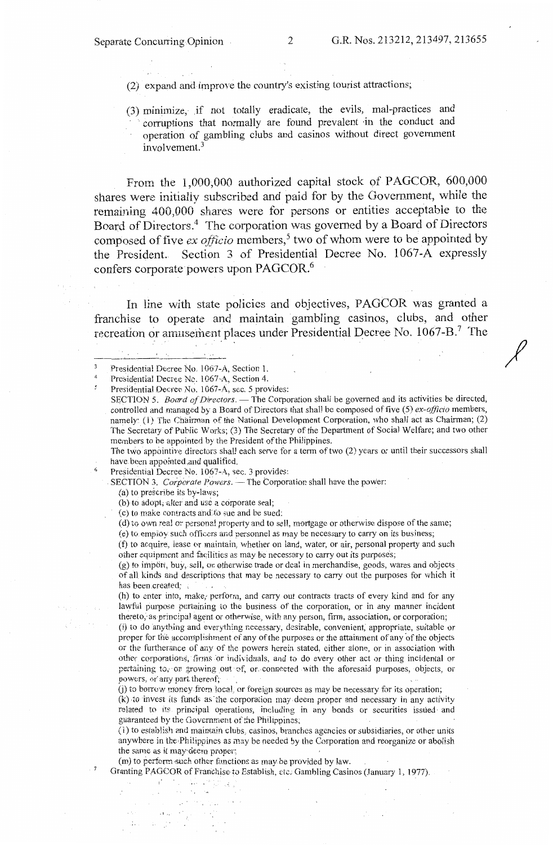/

(2) expand and improve the country's existing tourist attractions;

(3) minimize, if not totally eradicate, the evils, mal-practices and corruptions that normally are found prevalent in the conduct and operation of gambling clubs and casinos without direct government involvement.<sup>3</sup>

From. the 1,000,000 authorized capital stock of PAGCOR, 600,000 shares were initially subscribed and paid for by the Government, while the remaining 400,000 shares were for persons or entities acceptable to the Board of Directors.4 The corporation was governed by a Board of Directors composed of five *ex officio* members,<sup>5</sup> two of whom were to be appointed by the President. Section 3 of Presidential Decree No. 1067-A expressly confers corporate powers upon PAGCOR.<sup>6</sup>

In line with state policies and objectives, PAGCOR was granted a franchise to operate and maintain gambling casinos, clubs, and other recreation or amusement places under Presidential Decree No. 1067-B.7 The

 $\overline{5}$ Presidential Decree No. 1067-A, sec. 5 provides:

SECTION 5. *Board of Directors.* - The Corporation shall be governed and its activities be directed, controlled and managed by a Board of Directors that shall be composed of five (5) *ex-officio* members, namely: (1) The Chairman of the National Development Corporation, who shall act as Chairman; (2) The Secretary of Public Works; (3) The Secretary of the Department of Social Welfare; and two other members to be appointed by the President of the Philippines.

The two appointive directors shall each serve for a term of two (2) years or until their successors shall have been appointed and qualified.

6 Presidential Decree No. 1067-A, sec. 3 provides:

SECTION 3. *Corporate Powers.* -- The Corporation shall have the power:

 $(a)$  to prescribe its by-laws;

7

(b) to adopt, alter and use a corporate seal;

(c) to make contracts and to sue and be sued:

(d) to own real ot personal property and to sell, mortgage or otherwise dispose of the same;

(e) to empioy such officers and personnel as may be necessary to carry on its business;

(f) to acquire, lease or maintain, whether on land, water, or air, personal property and such other equipment and facilities as may be necessary to carry out its purposes;

(g) to import, buy, sell, or. 0therwise trade or deal in merchandise, goods, wares and objects of aH kinds and descriptions that may be necessary to carry out the purposes for which it has been created;

(h) to enter into, make, perform, and carry out contracts tracts of every kind and for any lawfui purpose pertaining to the business of the corporation, or in any manner incident thereto, as principal agent or otherwise, with any person, firm, association, or corporation;

(i) to do anything and everything necessary, desirable, convenient; appropriate, suitable or proper for the accomplishment of any of the purposes or the attainment of any of the objects or the furtherance of any of the powers herein stated, either alone, or in association with other corporations, firms or individuals, and to do every other act or thing incidental or pertaining to, or growing out of, or connected with the aforesaid purposes, objects, or powers, or any part thereof;

(j) to borrew money from local, or foreign sources as may be necessary for its operation;

(k) to invest its funds as the corporation may deem proper and necessary in any activity related to its principal operations, including in any bonds or securities issued and guaranteed by the Government of the Philippines,

(1) to establish and maintain clubs., casinos, branches agencies or subsidiaries, or other units anywhere in the Philippines as may be needed by the Corporation and reorganize or abolish the same as it may deem proper;

(m) to perform such other functions as may be provided by law.

 $\mathcal{A}_{\mathcal{A}}$ 

i Verski gr

 $\gamma_{\rm eff} = \gamma_{\rm eff}$ N SN.

−.

 $\alpha$  and  $\beta$  $\ddot{r}$ 

Granting PAGCOR of Franchise to Establish, etc. Gambling Casinos (January l, 1977).

Presidential Decree No. 1067-A, Section 1.

<sup>4</sup>  Presidential Decree Ne. 1067-A, Section 4.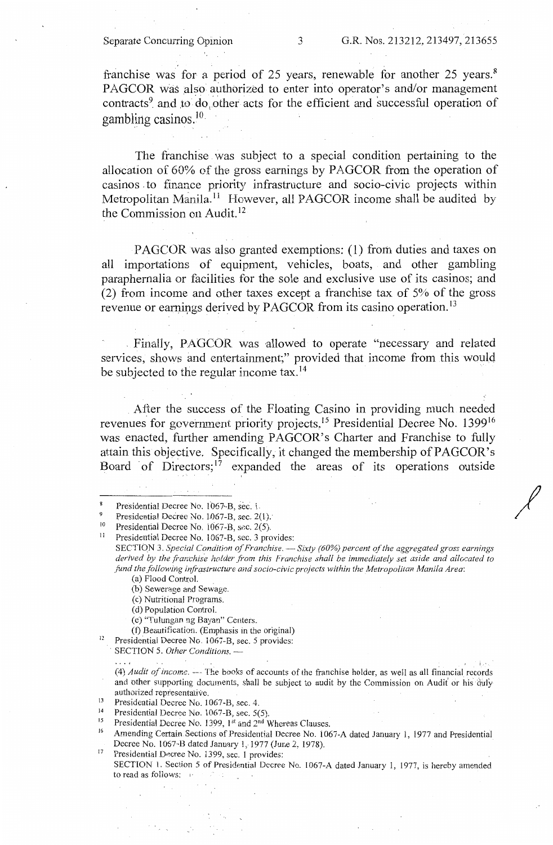*I* 

franchise was for a period of 25 years, renewable for another 25 years.<sup>8</sup> PAGCOR was also authorized to enter into operator's and/or management contracts<sup>9</sup> and to do other acts for the efficient and successful operation of gambling casinos.  $10$ 

The franchise was subject to a special condition pertaining to the allocation of 60% of the gross earnings by PAGCOR from the operation of casinos to finance priority infrastructure and socio-civic projects within Metropolitan Manila.<sup>11</sup> However, all PAGCOR income shall be audited by the Commission on Audit. <sup>12</sup>

PAGCOR was also granted exemptions: (1) from duties and taxes on all importations of equipment, vehicles, boats, and other gambling paraphernalia or facilities for the sole and exclusive use of its casinos; and (2) from income and other taxes except a franchise tax of 5% of the gross revenue or earnings derived by PAGCOR from its casino operation.<sup>13</sup>

Finally, PAGCOR was allowed to operate "necessary and related services, shows and entertainment;" provided that income from this would be subjected to the regular income tax.<sup>14</sup>

After the success of the Floating Casino in providing much needed revenues for government priority projects, 15 Presidential Decree No. 139916 was enacted, further amending PAGCOR's Charter and Franchise to fully attain this objective. Specifically, it changed the membership of PAGCOR's Board of Directors:<sup>17</sup> expanded the areas of its operations outside

SECTION 3. *Special Condition of Franchise.* - Sixty (60%) percent of the aggregated gross earnings derived by the franchise holder from this Franchise shall be immediately set aside and allocated to *fund the following infrastructure and socio-civic projects within the Metropolitan Manila Area:* 

(a) Flood Control.

(c) Nutritional Programs.

(d) Population Control.

(e) "Tulungan ng Bayan" Centers.

(1) Beautification. (Emphasis in the original)

 $12$  Presidential Decree No. 1067-B, sec. 5 provides: . SECTION 5. *Other Conditions.* -

'. (4) *Audit of income.* --- The books of accounts of the franchise holder, as well as all financial records and other supporting documents, shall be subject to audit by the Commission on Audit or his duly

authorized representative.<br><sup>13</sup> Presidential Decree No. 1067-B, sec. 4.<br><sup>14</sup> Presidential Decree No. 1067-B, sec. 50

<sup>14</sup> Presidential Decree No. 1067-B, sec. 5(5).<br><sup>15</sup> Presidential Decree No. 1399, 1<sup>st</sup> and 2<sup>nd</sup> Whereas Clauses.

<sup>17</sup> Presidential Decree No. 1399, sec. 1 provides:

SECTION l. Section 5 of Presidential Decree No. 1067-A dated January l, 1977, is hereby amended to read as follows:

Presidential Decree No. 1067-B, sec. i.

Presidential Decree No. 1067-B, sec. 2(1).

<sup>&</sup>lt;sup>10</sup> Presidential Decree No. 1067-B, sec. 2(5).<br><sup>11</sup> Presidential Decree No. 1067-B, sec. 3 pro-

Presidential Decree No. 1067-B, sec. 3 provides:

<sup>(</sup>b) Sewerage and Sewage.

<sup>&</sup>lt;sup>16</sup> Amending Certain Sections of Presidential Decree No. 1067-A dated January 1, 1977 and Presidential Decree No. 1067-B dated January 1, 1977 (June 2, 1978).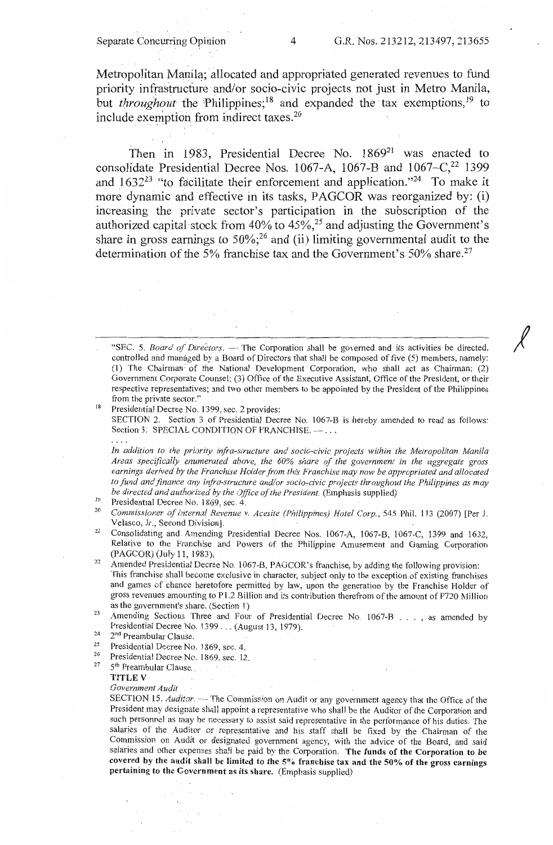*I* 

Metropolitan Manila; allocated and appropriated generated revenues to fund priority infrastructure and/or socio-civic projects not just in Metro Manila, but *throughout* the Philippines;<sup>18</sup> and expanded the tax exemptions,<sup>19</sup> to include exemption from indirect taxes. $20$ 

Then in 1983, Presidential Decree No. 1869<sup>21</sup> was enacted to consolidate Presidential Decree Nos. 1067-A, 1067-B and  $1067-C<sub>1</sub><sup>22</sup> 1399$ and  $1632^{23}$  "to facilitate their enforcement and application."<sup>24</sup> To make it more dynamic and effective in its tasks, PAGCOR was reorganized by: (i) increasing the private sector's participation in the subscription of the authorized capital stock from  $40\%$  to  $45\%$ ,<sup>25</sup> and adjusting the Government's share in gross earnings to  $50\%$ ;<sup>26</sup> and (ii) limiting governmental audit to the determination of the 5% franchise tax and the Government's  $50\%$  share.<sup>27</sup>

"SEC. 5. *Board of Directors*. -- The Corporation shall be governed and its activities be directed, controlled and managed by a Board of Directors that shall be composed of five (5) members, namely: (1) The Chairman: of the National Development Corporation, who shall act as Chairman; (2) Government Corporate Counsel: (3) Office of the Executive Assistant, Office of the President, or their respective representatives; and two other members to be appointed by the President of the Philippines from the private sector."<br><sup>18</sup> Presidential Decree No. 1399, sec. 2 provides:

SECTION 2. Section 3 of Presidential Decree No. 1067-B is hereby amended to read as follows: Section 3. SPECIAL CONDITION OF FRANCHISE. - ...

*In addition to the priority infra-structure and socio-civic projects within the Metropolitan Manila Areas specifically enumerated above, the 60% share of the government in the aggregate gross earnings derived by the Franchise Holder from this Franchise may now be appropriated and allocated to fund and finance any irifra-structure and/or socio-civic projects throughout the Philippines as may be directed and authorized by the Office of the President.* (Emphasis supplied)<br><sup>19</sup> Presidential Decree No. 1869, sec. 4.<br><sup>20</sup> Commissionary of Internal Praymus v. 4 2007(*Philippines*) Hotel Comp. 545

- 
- Commissioner of Internal Revenue v. Acesite (Philippines) Hotel Corp., 545 Phil. 113 (2007) [Per J. Velasco, Jr., Second Division].
- <sup>21</sup> Consolidating and Amending Presidential Decree Nos. 1067-A, 1067-B, 1067-C, 1399 and 1632, Relative to the Franchise and Powers of the Philippine Amusement and Gaming Corporation
- (PAGCOR) (July 11, 1983).<br><sup>22</sup> Amended Presidential Decree No. 1067-B, PAGCOR's franchise, by adding the following provision: This franchise shall become exclusive in character, subject only to the exception of existing franchises and games of chance heretofore permitted by Jaw, upon the generation by the Franchise Holder of gross revenues amounting to Pl.2 Billion and its contribution therefrom of the amount of P720 Million
- as the government's share. (Section 1)<br><sup>23</sup> Amending Sections: Three and Four of Presidential Decree No. 1067-B ..., as amended by Presidential Decree No. 1399 ... (August 13, 1979).<br>
<sup>24</sup> 2<sup>nd</sup> Preambular Clause.<br>
<sup>25</sup> Presidential Decree N. 1960 ...
- 
- Presidential Decree No. 1869, sec. 4.
- 26 27 Presidential Decree No. 1869, sec. 12.

#### 5<sup>th</sup> Preambular Clause. **TITLE V**

*Government Audit* 

SECTION 15. *Auditor*  $-$ -The Commission on Audit or any government agency that the Office of the President may designate shall appoint a representative who shall be the Auditor of the Corporation and such personnel as may be necessary to assist said representative in the performance of his duties. The salaries of the Auditor or representative and his staff shall be fixed by the Chairman of the Commission on Audit or designated government agency, with the advice of the Board, and said salaries and other expenses shall be paid by the Corporation. **The funds of the Corporation to be covered by the audit shall be limited** to **the 5% franchise tax and the 50% of the gross earnings**  pertaining to the Government as its share. (Emphasis supplied)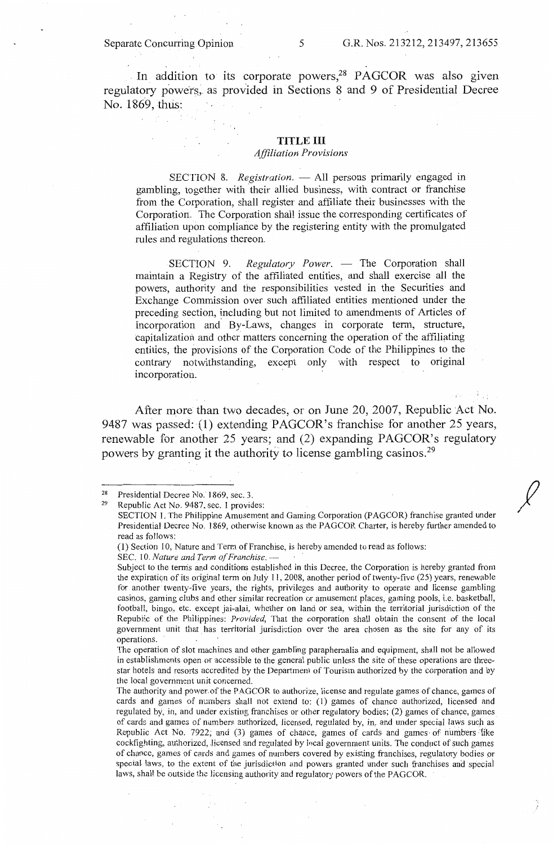In addition to its corporate powers,<sup>28</sup> PAGCOR was also given regulatory powers, as provided in Sections 8 and 9 of Presidential Decree No. 1869, thus:

# **TITLE** III

# *Affiliation Provisions*

SECTION 8. *Registration*. - All persons primarily engaged in gambling, together with their allied business, with contract or franchise from the Corporation, shall register and affiliate their businesses with the Corporation.. The Corporation shall issue the corresponding certificates of affiliation upon compliance by the registering entity with the promulgated rules and regulations thereon.

SECTION 9. *Regulatory Power*. - The Corporation shall maintain a Registry of the affiliated entities, and shall exercise all the powers, authority and the responsibilities vested in the Securities and Exchange Commission over such affiliated entities mentioned under the preceding section, including but not limited to amendments of Articles of Incorporation and By-Laws, changes in corporate term, structure, capitalization and other matters concerning the operation of the affiliating entities, the provisions of the Corporation Code of the Philippines to the contrary notwithstanding, except only with respect to original incorporation.

After more than two decades, or on June 20, 2007, Republic Act No. 9487 was passed: (1) extending PAGCOR's franchise for another 25 years, renewable for another 25 years; and (2) expanding PAGCOR's regulatory powers by granting it the authority to license gambling casinos.<sup>29</sup>

<sup>28</sup>  29 Presidential Decree No. 1869, sec. 3.

Republic Act No. 9487, sec. I provides:

SECTION 1. The Philippine Amusement and Gaming Corporation (PAGCOR) franchise granted under Presidential Decree No. 1869, otherwise known as the PAGCOR Charter, is hereby further amended to read as follows:

<sup>(1)</sup> Section 10, Nature and Term of Franchise, is hereby amended to read as follows: SEC. 10. *Nature and Term of Franchise*. -

Subject to the tenns and conditions established in this Decree, the Corporation is hereby granted from the expiraticn of its original term on July 11, 2008, another period of twenty-five (25) years, renewable for another twenty-five years, the rights, privileges and authority to operate and license gambling casinos, gaming clubs and other similar recreation or amusement places, gaming pools, i.e. basketball, football, bingo, etc. except jai-alai, whether on land or sea, within the territorial jurisdiction of the Republic of the Philippines: *Provided,* That the corporation shall obtain the consent of the local government unit that has territorial jurisdiction over the area chosen as the site for any of its operations.

The operation of slot machines and other gambling paraphernalia and equipment, shall not be allowed in establishments open or accessible to the general public unless the site of these operations are threestar hotels and resorts accredited by the Department of Tourism authorized by the corporation and by the local government unit concerned.

The authority and power.of the PAGCOR to authorize, license and regulate games of chance, games of cards and games of numbers shall not extend to: (1) games of chance authorized, licensed and regulated by, in, and under existing franchises or other regulatory bodies; (2) games of chance, games of cards and games of numbers authorized, licensed, regulated by, in, and under special laws such as Republic Act No. 7922; and (3) games of chance, games of cards and games of numbers fike cockfighting, authorized, licensed and regulated by local government units. The conduct of such games of chance, games of cards and games of numbers covered by existing franchises, regulatory bodies or special laws, to the extent of the jurisdiction and powers granted under such franchises and special laws, shall be outside the licensing authority and regulatory powers of the PAGCOR.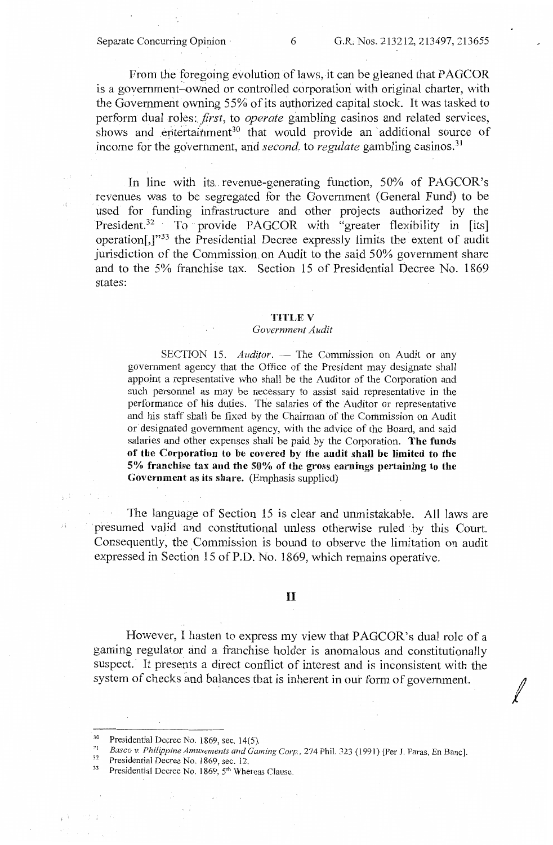From the foregoing evolution of laws, it can be gleaned that PAGCOR is a government-owned or controlled corporation with original charter, with the Government owning 55% of its authorized capital stock. It was tasked to perform dual *roles:.first,* to *operate* gambling casinos and related services, shows and entertainment<sup>30</sup> that would provide an additional source of income for the government, and *second*, to *regulate* gambling casinos.<sup>31</sup>

In line with its revenue-generating function, 50% of PAGCOR's revenues was to be segregated for the Government ( General Fund) to be used for funding infrastructure and other projects authorized by the President.<sup>32</sup> To provide PAGCOR with "greater flexibility in [its] operation[,]"33 the Presidential Decree expressly limits the extent of audit jurisdiction of the Commission on Audit to the said 50% government share and to the 5% franchise tax. Section 15 of Presidential Decree No. 1869 states:

### **TITLE V**

### *Government Audit*

SECTION 15. *Auditor.* - The Commission on Audit or any government agency that the Office of the President may designate shall appoint a representative who shall be the Auditor of the Corporation and such personnel as may be necessary to assist said representative in the performance of his duties. The salaries of the Auditor or representative and his staff shall be fixed by the Chairman of the Commission on Audit or designated government agency, with the advice of the Board, and said salaries and other expenses shall be paid by the Corporation. **The funds of the Corporation to be covered by the audit shall be limited to the 5% franchise tax and the 50% of the gross earnings pertaining to the Government as its share.** (Emphasis supplied)

The language of Section 15 is clear and unmistakable. All laws are presumed valid and constitutional unless otherwise ruled by this Court. Consequently, the Commission is bound to observe the limitation on audit expressed in Section 15 of P.D. No. 1869, which remains operative.

# II

However, I hasten to express my view that PAGCOR's dual role of a gaming regulator and a franchise holder is anomalous and constitutionally suspect. It presents a direct conflict of interest and is inconsistent with the system of checks and balances that is inherent in our form of government.

*I* 

√ si

<sup>&</sup>lt;sup>30</sup> Presidential Decree No. 1869, sec. 14(5).<br> *Basco v. Philippine Amusements and Gaming Corp.*, 274 Phil. 323 (1991) [Per J. Paras, En Banc].<br>
Presidential Decree No. 1869, sec. 12.<br>
<sup>32</sup> Presidential Decree No. 1869,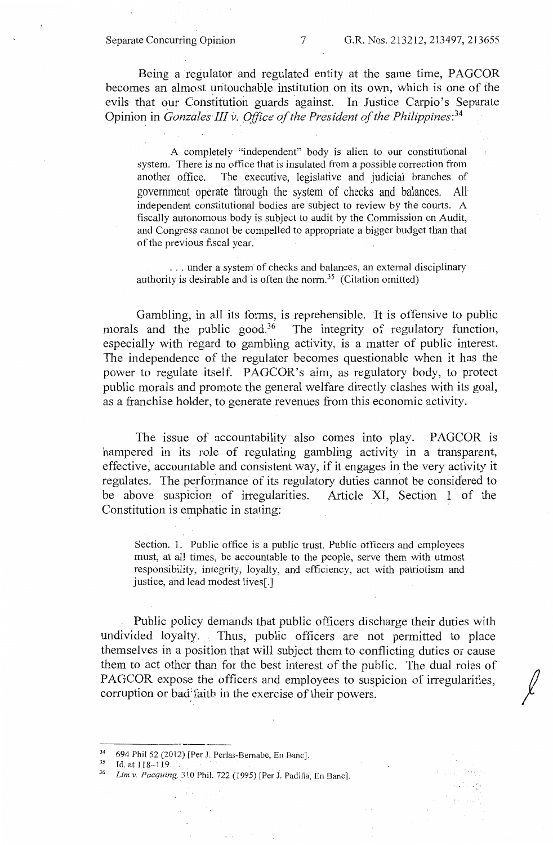Being a regulator and regulated entity at the same time, PAGCOR becomes an almost untouchable institution on its own, which is one of the evils that our Constitution guards against. In Justice Carpio's Separate Opinion in *Gonzales III* v. *Office of the President of the Philippines:34* 

A completely "independent" body is alien to our constitutional system. There is no office that is insulated from a possible correction from another office. The executive, legislative and judicial branches of government operate through the system of checks and balances. All independent constitutional bodies are subject to review by the courts. A fiscally autonomous body is subject to audit by the Commission on Audit, and Congress cannot be compelled to appropriate a bigger budget than that of the previous fiscal year.·

... under a system of checks and balances, an external disciplinary authority is desirable and is often the norm. 35 (Citation omitted)

Gambling, in all its forms, is reprehensible. It is offensive to public morals and the public good.<sup>36</sup> The integrity of regulatory function, especially with regard to gambling activity, is a matter of public interest. The independence of the regulator becomes questionable when it has the power to regulate itself. PAGCOR's aim, as regulatory body, to protect public morals and promote the general welfare directly clashes with its goal, as a franchise holder, to generate revenues from this economic activity.

The issue of accountability also comes into play. PAGCOR is hampered in its role of regulating gambling activity in a transparent, effective, accountable and consistent way, if it engages in the very activity it regulates. The performance of its regulatory duties cannot be considered to be above suspicion of irregularities. Article XI, Section 1 of the Constitution is emphatic in stating:

Section. 1. Public office is a public trust. Public officers and employees must, at al! times, be accountable to the people, serve them with utmost responsibility, integrity, loyalty, and efficiency, act with patriotism and justice, and lead modest lives[.]

Public policy demands that public officers discharge their duties with undivided loyalty. Thus, public officers are not permitted to place themselves in a position that will subject them to conflicting duties or cause them to act other than for the best interest of the public. The dual roles of PAGCOR expose the officers and employees to suspicion of irregularities. corruption or bad faith in the exercise of their powers.

<sup>694</sup> Phil 52 (2012) [Per J. Perlas-Bernabe, En Banc].

 $\frac{35}{36}$  Id. at 118-119.  $\frac{1}{26}$ . Phil. 722 (1995) [Per J. Padilla. En Banc].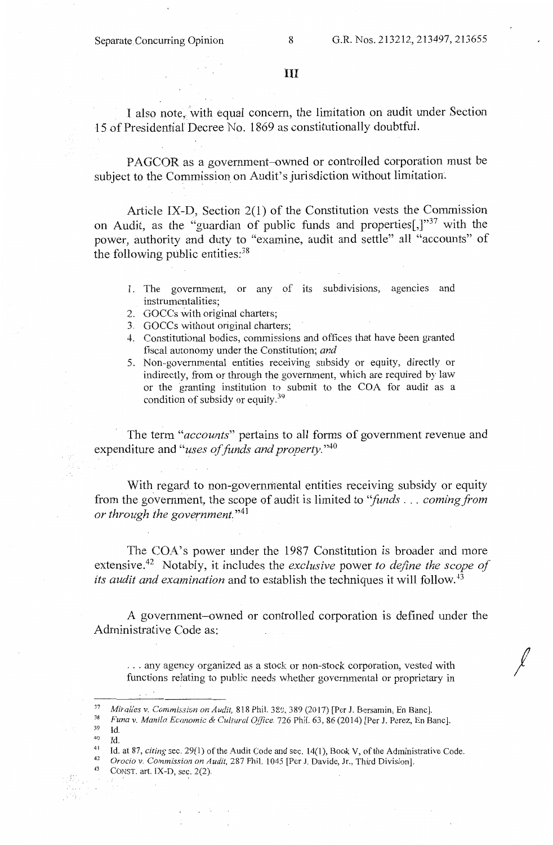III

I also note, with equal concern, the limitation on audit under Section 15 of Presidential Decree No. 1869 as constitutionally doubtful.

PAGCOR as a government-owned or controlled corporation must be subject to the Commission on Audit's jurisdiction without limitation.

Article IX-D, Section 2(1) of the Constitution vests the Commission on Audit, as the ''guardian of public funds and properties[,]"37 with the power, authority and duty to "examine, audit and settle" all "accounts" of the following public entities:<sup>38</sup>

- 1. The government, or any of its subdivisions, agencies and instrumentalities;
- 2. GOCCs with original charters;
- 3. GOCCs without original charters;
- 4. Constitutional bodies, commissions and offices that have been granted fiscal autonomy under the Constitution; *and*
- 5. Non--govemmental entities receiving subsidy or equity, directly or indirectly, from or through the government, which are required by law or the granting institution to submit to the COA for audit as a condition of subsidy or equity.<sup>39</sup>

The term *"accounts"* pertains to all forms of government revenue and expenditure and *"uses of funds and property.* "40

With regard to non-governmental entities receiving subsidy or equity from the government, the scope of audit is limited to *''funds* ... *coming from or through the government.* "41

The COA's power under the 1987 Constitution is broader and more extensive.42 Notably, it includes the *exclusive* power *to define the scope of its audit and examination* and to establish the techniques it will follow. <sup>43</sup>

A government-owned or controlled corporation is defined under the Administrative Code as:

... any agency organized as a stock or non-stock corporation, vested with functions relating to public needs whether governmental or proprietary in *I* 

<sup>&</sup>lt;sup>37</sup> Miralles v. Commission on Audit, 818 Phil. 380, 389 (2017) [Per J. Bersamin, En Banc].<br><sup>38</sup> *Funa v. Manila Economic & Cultural Office*, 726 Phil. 63, 86 (2014) [Per J. Perez, En Banc]. 39 Id.

<sup>&</sup>lt;sup>40</sup> Id.<br>
<sup>41</sup> Id. at 87, *citing* sec. 29(1) of the Audit Code and sec. 14(1), Book V, of the Administrative Code.<br>
<sup>42</sup> *Orocio v. Commission on Audit*, 287 Phil. 1045 [Per J. Davide, Jr., Third Division].<br>
<sup>43</sup> CONST.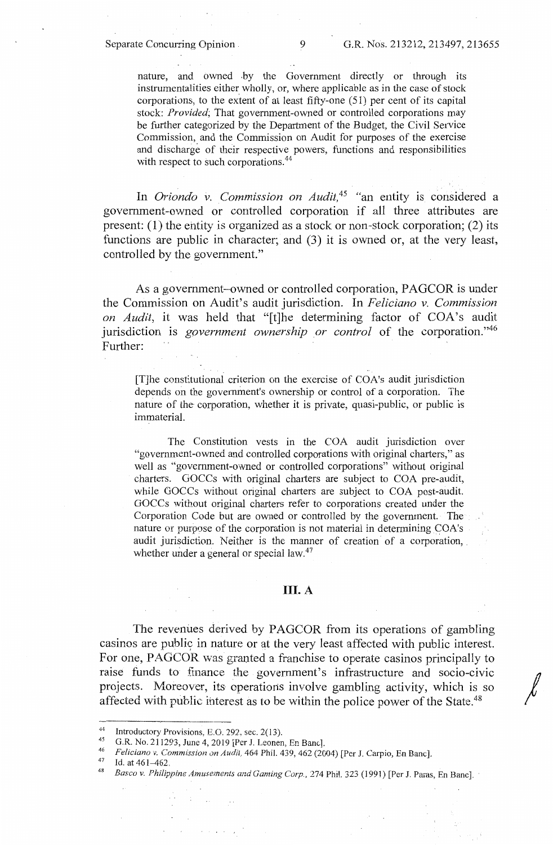nature, and owned .by the Government directly or through its instrumentalities either wholly, or, where applicable as in the case of stock corporations, to the extent of at least fifty-one (51) per cent of its capital stock: *Provided;* That government-owned or controlled corporations may be further categorized by the Department of the Budget, the Civil Service Commission, and the Commission on Audit for purposes of the exercise and discharge of their respective powers, functions and responsibilities with respect to such corporations.<sup>44</sup>

In *Oriondo v. Commission on Audit*,<sup>45</sup> "an entity is considered a government-owned or controlled corporation if all three attributes are present: (1) the entity is organized as a stock or non-stock corporation; (2) its functions are public in character; and (3) it is owned or, at the very least, controlled by the government."

As a government-owned or controlled corporation, PAGCOR is under the Commission on Audit's audit jurisdiction. In *Feliciano v. Commission on Audit,* it was held that "[t]he determining factor of COA's audit jurisdiction is *government ownership or control* of the corporation."46 Further:

[T]he constitutional criterion on the exercise of COA's audit jurisdiction depends on the government's ownership or control of a corporation. The nature of the corporation, whether it is private, quasi-public, or public is immaterial.

The Constitution vests in the COA audit jurisdiction over "government-owned and controlled corporations with original charters," as well as "government-owned or controlled corporations" without original charters. GOCCs with original charters are subject to COA pre-audit, while GOCCs without original charters are subject to COA post-audit. GOCCs without original charters refer to corporations created under the Corporation Code but are owned or controlled by the government. The nature or purpose of the corporation is not material in determining COA's audit jurisdiction. Neither is the manner of creation of a corporation, . whether under a general or special law. $47$ 

# III. A

The revenues derived by PAGCOR from its operations of gambling casinos are public in nature or at the very least affected with public interest. For one, PAGCOR was granted a franchise to operate casinos principally to casinos are public in nature or at the very least affected with public interest.<br>For one, PAGCOR was granted a franchise to operate casinos principally to<br>raise funds to finance the government's infrastructure and socio-ci projects. Moreover, its operations involve gambling activity, which is so affected with public interest as to be within the police power of the State.<sup>48</sup>

<sup>44</sup> Introductory Provisions, E.O. 292, sec. 2(13).<br>
45 G.R. No. 211293, June 4, 2019 [Per J. Leonen, En Banc].<br>
46 Feliciano v. Commission on Audit, 464 Phil. 439, 462 (2004) [Per J. Carpio, En Banc].<br>
47 Id. at 461–462.<br>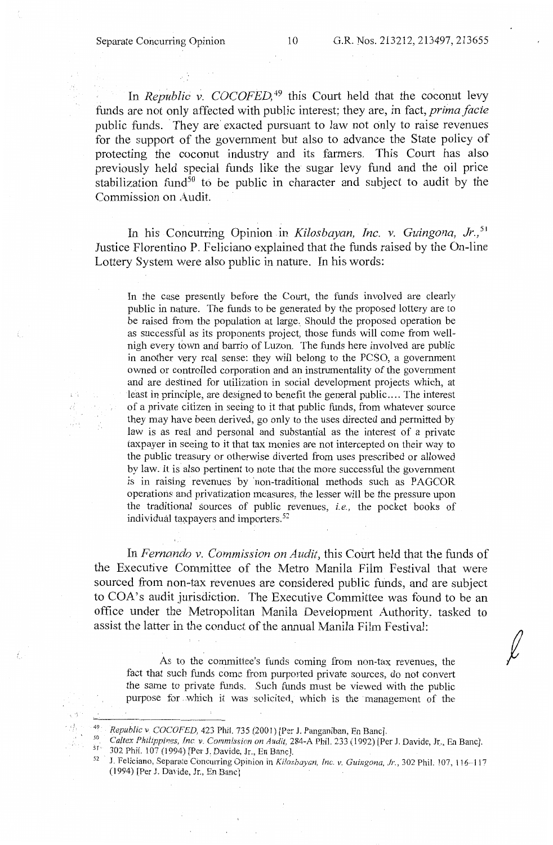$\frac{1}{2}$  .

чý,

In *Republic v. COCOFED*,<sup>49</sup> this Court held that the coconut levy funds are not only affected with public interest; they are, in fact, *prima facie*  public funds. They are exacted pursuant to law not only to raise revenues for the support of the government but also to advance the State policy of protecting the coconut industry and its farmers. This Court has also previously held special funds like the sugar levy fund and the oil price stabilization fund<sup>50</sup> to be public in character and subject to audit by the Commission on Audit.

In his Concurring Opinion in *Kilosbayan, Inc. v. Guingona, Jr.,* <sup>51</sup> Justice Florentino P. Feliciano explained that the funds raised by the On-line Lottery System were also public in nature. In his words:

In the case presently before the Court, the funds involved are clearly public in nature. The funds to be generated by the proposed lottery are to be raised from the population at large. Should the proposed operation be as successful as its proponents project, those funds will come from wellnigh every town and barrio of Luzon. The funds here involved are public in another very real sense: they will belong to the PCSO, a government owned or controlled corporation and an instrumentality of the government and are destined for utilization in social development projects which, at least in principle, are designed to benefit the general public .... The interest of a private citizen in seeing to it that public funds, from whatever source they may have been derived, go only to the uses directed and permitted by law is as real and personal and substantial as the interest of a private taxpayer in seeing to it that tax monies are not intercepted on their way to the public treasury or otherwise diverted from uses prescribed or allowed by law. It is also pertinent to note that the more successful the government is in raising revenues by non-traditional methods such as PAGCOR operations and privatization measures, the lesser will be the pressure upon the traditional sources of public revenues, i.e., the pocket books of individual taxpayers and importers.<sup>52</sup>

In *Fernando v. Commission on Audit,* this Court held that the funds of the Executive Committee of the Metro Manila Film Festival that were sourced from non-tax revenues are considered public funds, and are subject to COA's audit jurisdiction. The Executive Committee was found to be an office under the Metropolitan Manila Development Authority, tasked to assist the latter in the conduct of the annual Manila Film Festival:

As to the committee's funds coming from non-tax revenues, the fact that such funds come from purported private sources, do not convert the same to private funds. Such funds must be viewed with the public purpose for which it was solicited, which is the management of the

5 <sup>50</sup> *Caltex Philippines, Inc. v. Commission on Audit,* 284-A Phil. 233 (1992) [Per J. Davide, Jr., En Banc].<br><sup>51</sup> <sup>31</sup> 302 Phil. 107 (1994) [Per J. Davide, Jr., En Banc].

<sup>52</sup> J. Feliciano, Separate Concurring Opinion in *Kiloshayan, Inc. v. Guingona, Jr.*, 302 Phil. 107, 116-117 (1994) [Per J. Davide, Jr., En Banc l

<sup>&</sup>lt;sup>49</sup> *Republic v. COCOFED, 423 Phil. 735 (2001)* [Per J. Panganiban, En Banc].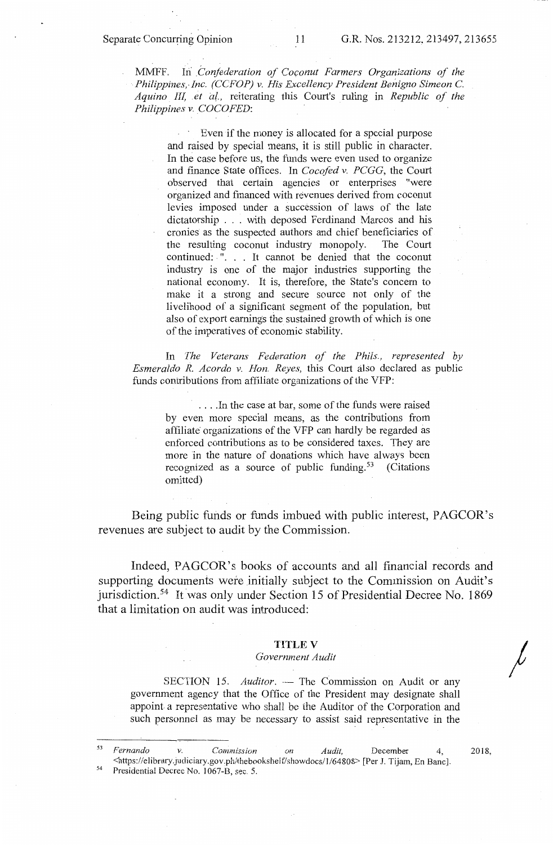MMFF. Iii *Confederation of Coconut Farmers Organizations of the ·•Philippines,,Jnc. (CCFOP) v. His Excellency President Benigno Simeon* C. *Aquino III, et* a{., reiterating this Court's ruling in *Republic of the Philippines v. COCOFED:* 

> Even if the money is allocated for a special purpose and raised by special means, it is still public in character. In the case before us, the funds were even used to organize and finance State offices. In *Cocofed v. PCGG,* the Court observed that certain agencies or enterprises "were organized and financed with revenues derived from coconut levies imposed under a succession of laws of the late dictatorship ... with deposed Ferdinand Marcos and his cronies as the suspected authors and chief beneficiaries of the resulting coconut industry monopoly. continued: ". . . It cannot be denied that the coconut industry is one of the major industries supporting the national economy. It is, therefore, the State's concern to make it a strong and secure source not only of the livelihood of a significant segment of the population, but also of export earnings the sustained growth of which is one of the imperatives of economic stability.

In *The Veterans Federation of the Phils., represented by Esmeralda R. Acorda v. Hon. Reyes,* this Court also declared as public funds contributions from affiliate organizations of the VFP:

.... In the case at bar, some of the funds were raised by even more special means, as the contributions from affiliate organizations of the VFP can hardly be regarded as enforced contributions as to be considered taxes. They are more in the nature of donations which have always been recognized as a source of public funding.<sup>53</sup> (Citations omitted)

Being public funds or funds imbued with public interest, PAGCOR's revenues are subject to audit by the Commission.

Indeed, PAGCOR's books of accounts and all financial records and supporting documents were initially subject to the Commission on Audit's jurisdiction.54 It was only under Section 15 of Presidential Decree No. 1869 that a limitation on audit was introduced:

### **TITLE V**

#### *Government Audit*

SECTION 15. *Auditor.* — The Commission on Audit or any government agency that the Office of the President may designate shall appoint a representative who shall be the Auditor of the Corporation and such personnel as may be necessary to assist said representative in the

<sup>53</sup>*Fernando v. Commission on Audit,* December 4, Shttps://elibrary.judiciary.gov.ph/thebookshelf/showdocs/1/64808> [Per J. Tijam, En Banc].<br><sup>54</sup> Presidential Decree No. 1067-B, sec. 5.

2018,

*I*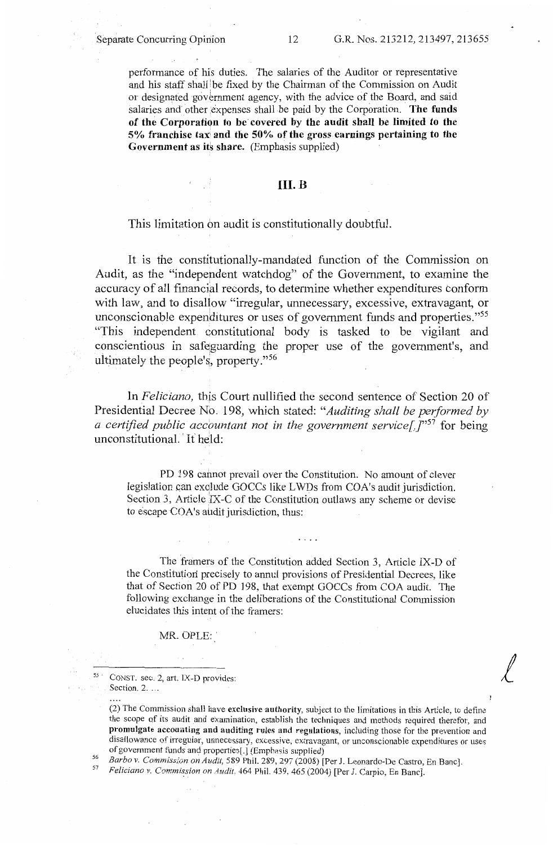performance of his duties. The salaries of the Auditor or representative and his staff shall be fixed by the Chairman of the Commission on Audit or designated government agency, with the advice of the Board, and said salaries and other expenses shall be paid by the Corporation. The funds of the Corporation to be covered by the audit shall be limited to the **5% franchise tax: and the 50% of the gross earnings pertaining to the Government as its share.** (Emphasis supplied)

# **111.B**

# This limitation on audit is constitutionally doubtful.

It is the constitutionally-mandated function of the Commission on Audit, as the "independent watchdog" of the Government, to examine the accuracy of all financial records, to determine whether expenditures conform with law, and to disallow "irregular, unnecessary, excessive, extravagant, or unconscionable expenditures or uses of government funds and properties. "55 "This independent constitutional body is tasked to be vigilant and conscientious in safeguarding the proper use of the government's, and ultimately the people's, property."  $56$ 

In *Feliciano*, this Court nullified the second sentence of Section 20 of Presidential Decree No. 198, which stated: *"Auditing shall be performed by a certified public accountant not in the government service*<sup>[1]</sup>, *[''<sup>57</sup> for being* unconstitutional. It held:

PD 198 cannot prevail over the Constitution. No amount of clever legislation can exclude GOCCs like LWDs from COA's audit jurisdiction. Section 3, Article  $IX-C$  of the Constitution outlaws any scheme or devise to escape COA's audit jurisdiction, thus:

The framers of the Constitution added Section 3, Article IX-D of the Constitutiori precisely to annul provisions of Presidential Decrees, like that of Section 20 of PD 198, that exempt GOCCs from COA audit. The following exchange in the deliberations of the Constitutional Commission elucidates this intent of the framers:

MR. OPLE:

55 · CONST. sec. 2, art. **IX-D** provides: Section. 2. ...

(2) The Commission shall have **exclusive authority,** subject to the limitations in this Article, to define the scope of its audit and examination, establish the techniques and methods required therefor, and **promulgate accounting and auditing rules and regulations,** including those for the prevention and disallowance of irregular, unnecessary, excessive, extravagant, or unconscionable expenditures or uses of government funds and properties[.] (Emphasis supplied) *1* 

<sup>56</sup> Barbo v. Commission on Audit, 589 Phil. 289, 297 (2008) [Per J. Leonardo-De Castro, En Banc].<br><sup>57</sup> Feliciano v. Commission on Audit. 464 Phil. 439, 465 (2004) [Per J. Carpio, En Banc].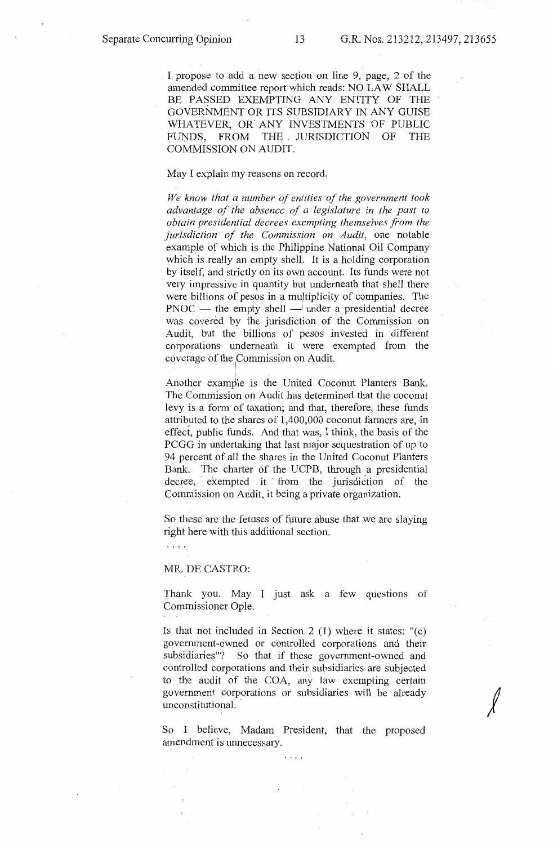I propose to add a new section on line 9, page,  $2$  of the amended committee report which reads: NO LAW SHALL BE PASSED EXEMPTING ANY ENTITY OF THE GOVERNMENT OR ITS SUBSIDIARY IN ANY GUISE WHATEVER, OR ANY INVESTMENTS OF PUBLIC FUNDS, FROM THE . JURISDICTION. OF THE COMMISSION ON AUDIT.

May I explain my reasons on record.

*We know that a number of entities of the government took advantage of the absence of a legislature in the past to obtain presidential decrees exempting themselves from the jurisdiction of the Commission on Audit,* one notable example of which is the Philippine National Oil Company which is really an empty shell. It is a holding corporation by itself, and strictly on its own account. Its funds were not very impressive in quantity but underneath that shell there were billions of pesos in a multiplicity of companies. The  $PNOC$  — the empty shell — under a presidential decree was covered by the jurisdiction of the Commission on Audit, but the billions of pesos invested in different corporations underneath it were exempted from the coverage of the Commission on Audit.

Another example is the United Coconut Planters Bank. The Commission on Audit has determined that the coconut levy is a form of taxation; and that, therefore, these funds attribyted to the shares of 1,400,000 coconut farmers are, in effect, public funds. And that was, I think, the basis of the PCGG in undertaking that last major sequestration of up to 94 percent of all the shares in the United Coconut Planters Bank. The charter of the UCPB, through a presidential decree, exempted it from the jurisdiction of the Commission on Audit, it being a private organization.

So these are the fetuses of future abuse that we are slaying right here with this additional section.

 $\ldots$  .

#### MR. DE CASTRO:

Thank you. May I just ask a few questions of Commissioner Opie.

Is that not included in Section 2  $(1)$  where it states: " $(c)$ government-owned or controlled corporations and their subsidiaries"? So that if these government-owned and controlled corporations and their subsidiaries are subjected to the audit of the COA, any law exempting certain government. corporations or subsidiaries will be already unconstitutional.

 $\sqrt{2}$ 

So I believe, Madam President, that the proposed amendment is unnecessary.

 $\ldots$